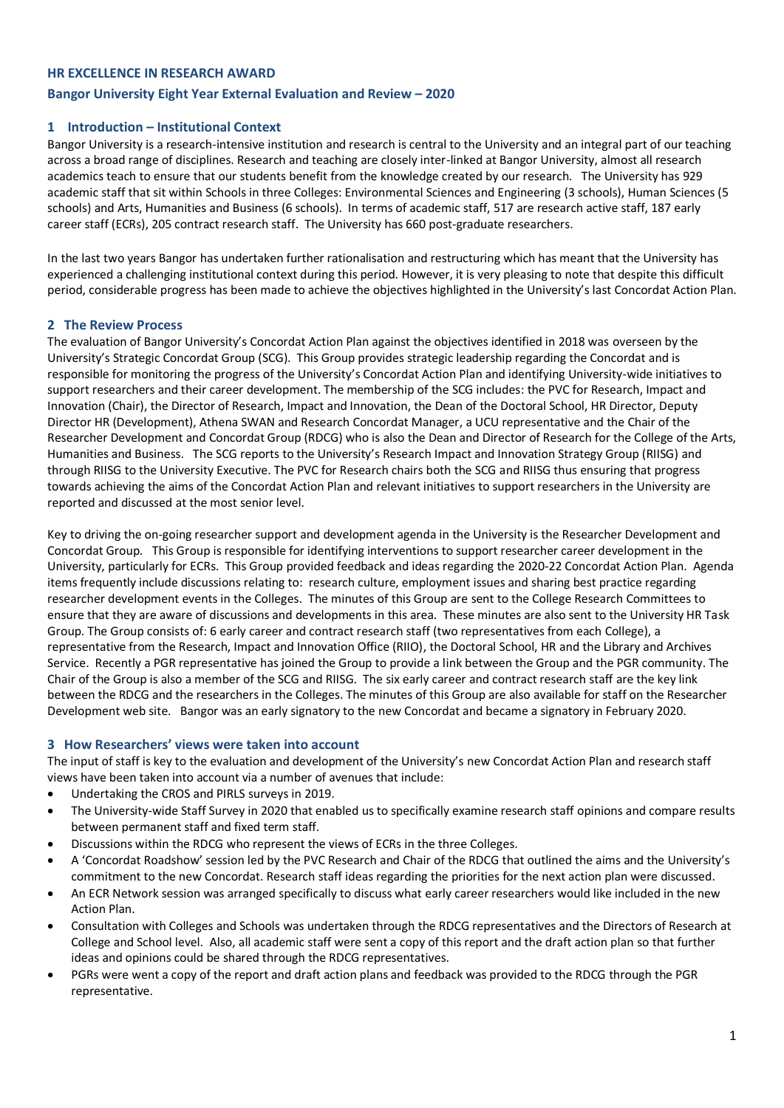### **HR EXCELLENCE IN RESEARCH AWARD**

### **Bangor University Eight Year External Evaluation and Review – 2020**

### **1 Introduction – Institutional Context**

Bangor University is a research-intensive institution and research is central to the University and an integral part of our teaching across a broad range of disciplines. Research and teaching are closely inter-linked at Bangor University, almost all research academics teach to ensure that our students benefit from the knowledge created by our research. The University has 929 academic staff that sit within Schools in three Colleges: Environmental Sciences and Engineering (3 schools), Human Sciences (5 schools) and Arts, Humanities and Business (6 schools). In terms of academic staff, 517 are research active staff, 187 early career staff (ECRs), 205 contract research staff. The University has 660 post-graduate researchers.

In the last two years Bangor has undertaken further rationalisation and restructuring which has meant that the University has experienced a challenging institutional context during this period. However, it is very pleasing to note that despite this difficult period, considerable progress has been made to achieve the objectives highlighted in the University's last Concordat Action Plan.

### **2 The Review Process**

The evaluation of Bangor University's Concordat Action Plan against the objectives identified in 2018 was overseen by the University's Strategic Concordat Group (SCG). This Group provides strategic leadership regarding the Concordat and is responsible for monitoring the progress of the University's Concordat Action Plan and identifying University-wide initiatives to support researchers and their career development. The membership of the SCG includes: the PVC for Research, Impact and Innovation (Chair), the Director of Research, Impact and Innovation, the Dean of the Doctoral School, HR Director, Deputy Director HR (Development), Athena SWAN and Research Concordat Manager, a UCU representative and the Chair of the Researcher Development and Concordat Group (RDCG) who is also the Dean and Director of Research for the College of the Arts, Humanities and Business. The SCG reports to the University's Research Impact and Innovation Strategy Group (RIISG) and through RIISG to the University Executive. The PVC for Research chairs both the SCG and RIISG thus ensuring that progress towards achieving the aims of the Concordat Action Plan and relevant initiatives to support researchers in the University are reported and discussed at the most senior level.

Key to driving the on-going researcher support and development agenda in the University is the Researcher Development and Concordat Group. This Group is responsible for identifying interventions to support researcher career development in the University, particularly for ECRs. This Group provided feedback and ideas regarding the 2020-22 Concordat Action Plan. Agenda items frequently include discussions relating to: research culture, employment issues and sharing best practice regarding researcher development events in the Colleges. The minutes of this Group are sent to the College Research Committees to ensure that they are aware of discussions and developments in this area. These minutes are also sent to the University HR Task Group. The Group consists of: 6 early career and contract research staff (two representatives from each College), a representative from the Research, Impact and Innovation Office (RIIO), the Doctoral School, HR and the Library and Archives Service. Recently a PGR representative has joined the Group to provide a link between the Group and the PGR community. The Chair of the Group is also a member of the SCG and RIISG. The six early career and contract research staff are the key link between the RDCG and the researchers in the Colleges. The minutes of this Group are also available for staff on the Researcher Development web site. Bangor was an early signatory to the new Concordat and became a signatory in February 2020.

#### **3 How Researchers' views were taken into account**

The input of staff is key to the evaluation and development of the University's new Concordat Action Plan and research staff views have been taken into account via a number of avenues that include:

- Undertaking the CROS and PIRLS surveys in 2019.
- The University-wide Staff Survey in 2020 that enabled us to specifically examine research staff opinions and compare results between permanent staff and fixed term staff.
- Discussions within the RDCG who represent the views of ECRs in the three Colleges.
- A 'Concordat Roadshow' session led by the PVC Research and Chair of the RDCG that outlined the aims and the University's commitment to the new Concordat. Research staff ideas regarding the priorities for the next action plan were discussed.
- An ECR Network session was arranged specifically to discuss what early career researchers would like included in the new Action Plan.
- Consultation with Colleges and Schools was undertaken through the RDCG representatives and the Directors of Research at College and School level. Also, all academic staff were sent a copy of this report and the draft action plan so that further ideas and opinions could be shared through the RDCG representatives.
- PGRs were went a copy of the report and draft action plans and feedback was provided to the RDCG through the PGR representative.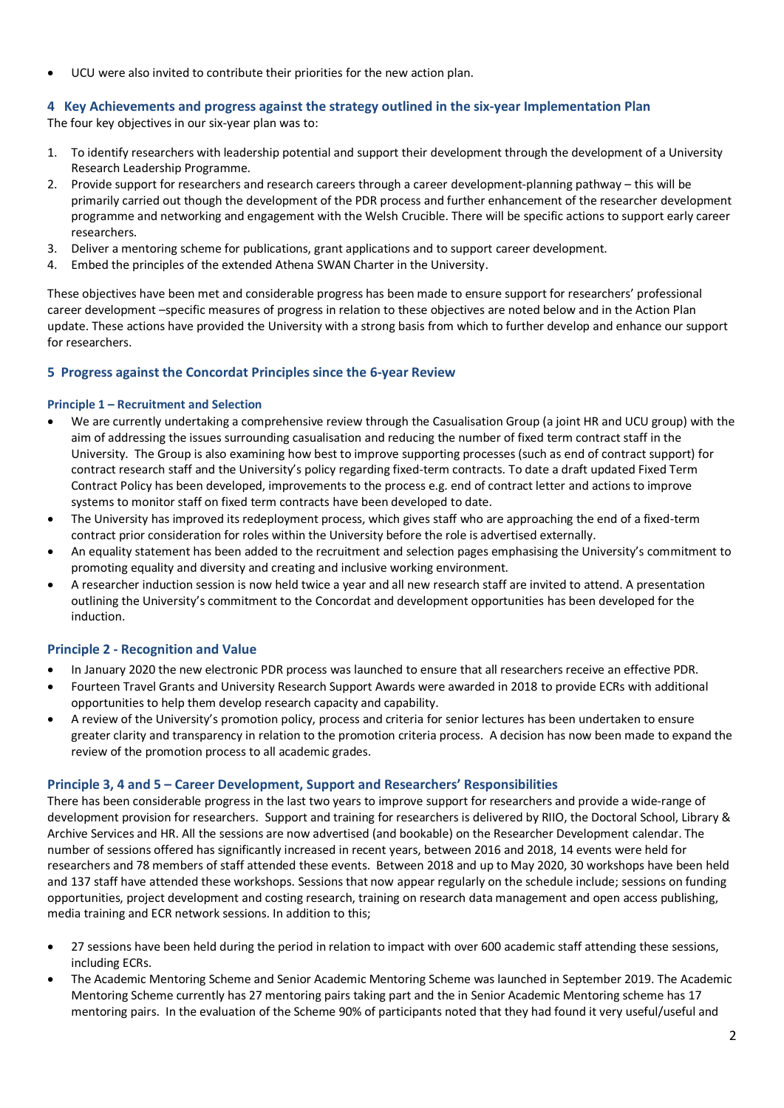• UCU were also invited to contribute their priorities for the new action plan.

## **4 Key Achievements and progress against the strategy outlined in the six-year Implementation Plan**

The four key objectives in our six-year plan was to:

- 1. To identify researchers with leadership potential and support their development through the development of a University Research Leadership Programme.
- 2. Provide support for researchers and research careers through a career development-planning pathway this will be primarily carried out though the development of the PDR process and further enhancement of the researcher development programme and networking and engagement with the Welsh Crucible. There will be specific actions to support early career researchers.
- 3. Deliver a mentoring scheme for publications, grant applications and to support career development.
- 4. Embed the principles of the extended Athena SWAN Charter in the University.

These objectives have been met and considerable progress has been made to ensure support for researchers' professional career development –specific measures of progress in relation to these objectives are noted below and in the Action Plan update. These actions have provided the University with a strong basis from which to further develop and enhance our support for researchers.

## **5 Progress against the Concordat Principles since the 6-year Review**

### **Principle 1 – Recruitment and Selection**

- We are currently undertaking a comprehensive review through the Casualisation Group (a joint HR and UCU group) with the aim of addressing the issues surrounding casualisation and reducing the number of fixed term contract staff in the University. The Group is also examining how best to improve supporting processes (such as end of contract support) for contract research staff and the University's policy regarding fixed-term contracts. To date a draft updated Fixed Term Contract Policy has been developed, improvements to the process e.g. end of contract letter and actions to improve systems to monitor staff on fixed term contracts have been developed to date.
- The University has improved its redeployment process, which gives staff who are approaching the end of a fixed-term contract prior consideration for roles within the University before the role is advertised externally.
- An equality statement has been added to the recruitment and selection pages emphasising the University's commitment to promoting equality and diversity and creating and inclusive working environment.
- A researcher induction session is now held twice a year and all new research staff are invited to attend. A presentation outlining the University's commitment to the Concordat and development opportunities has been developed for the induction.

### **Principle 2 - Recognition and Value**

- In January 2020 the new electronic PDR process was launched to ensure that all researchers receive an effective PDR.
- Fourteen Travel Grants and University Research Support Awards were awarded in 2018 to provide ECRs with additional opportunities to help them develop research capacity and capability.
- A review of the University's promotion policy, process and criteria for senior lectures has been undertaken to ensure greater clarity and transparency in relation to the promotion criteria process. A decision has now been made to expand the review of the promotion process to all academic grades.

### **Principle 3, 4 and 5 – Career Development, Support and Researchers' Responsibilities**

There has been considerable progress in the last two years to improve support for researchers and provide a wide-range of development provision for researchers. Support and training for researchers is delivered by RIIO, the Doctoral School, Library & Archive Services and HR. All the sessions are now advertised (and bookable) on the Researcher Development calendar. The number of sessions offered has significantly increased in recent years, between 2016 and 2018, 14 events were held for researchers and 78 members of staff attended these events. Between 2018 and up to May 2020, 30 workshops have been held and 137 staff have attended these workshops. Sessions that now appear regularly on the schedule include; sessions on funding opportunities, project development and costing research, training on research data management and open access publishing, media training and ECR network sessions. In addition to this;

- 27 sessions have been held during the period in relation to impact with over 600 academic staff attending these sessions, including ECRs.
- The Academic Mentoring Scheme and Senior Academic Mentoring Scheme was launched in September 2019. The Academic Mentoring Scheme currently has 27 mentoring pairs taking part and the in Senior Academic Mentoring scheme has 17 mentoring pairs. In the evaluation of the Scheme 90% of participants noted that they had found it very useful/useful and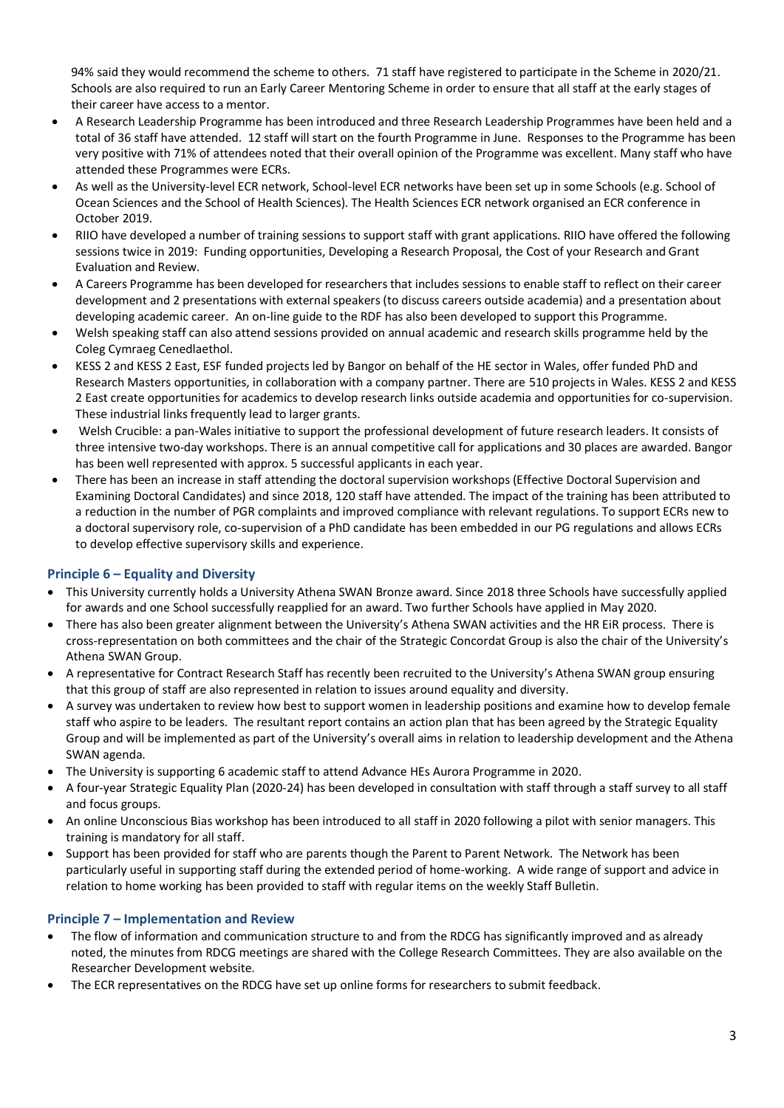94% said they would recommend the scheme to others. 71 staff have registered to participate in the Scheme in 2020/21. Schools are also required to run an Early Career Mentoring Scheme in order to ensure that all staff at the early stages of their career have access to a mentor.

- A Research Leadership Programme has been introduced and three Research Leadership Programmes have been held and a total of 36 staff have attended. 12 staff will start on the fourth Programme in June. Responses to the Programme has been very positive with 71% of attendees noted that their overall opinion of the Programme was excellent. Many staff who have attended these Programmes were ECRs.
- As well as the University-level ECR network, School-level ECR networks have been set up in some Schools (e.g. School of Ocean Sciences and the School of Health Sciences). The Health Sciences ECR network organised an ECR conference in October 2019.
- RIIO have developed a number of training sessions to support staff with grant applications. RIIO have offered the following sessions twice in 2019: Funding opportunities, Developing a Research Proposal, the Cost of your Research and Grant Evaluation and Review.
- A Careers Programme has been developed for researchers that includes sessions to enable staff to reflect on their career development and 2 presentations with external speakers (to discuss careers outside academia) and a presentation about developing academic career. An on-line guide to the RDF has also been developed to support this Programme.
- Welsh speaking staff can also attend sessions provided on annual academic and research skills programme held by the Coleg Cymraeg Cenedlaethol.
- KESS 2 and KESS 2 East, ESF funded projects led by Bangor on behalf of the HE sector in Wales, offer funded PhD and Research Masters opportunities, in collaboration with a company partner. There are 510 projects in Wales. KESS 2 and KESS 2 East create opportunities for academics to develop research links outside academia and opportunities for co-supervision. These industrial links frequently lead to larger grants.
- Welsh Crucible: a pan-Wales initiative to support the professional development of future research leaders. It consists of three intensive two-day workshops. There is an annual competitive call for applications and 30 places are awarded. Bangor has been well represented with approx. 5 successful applicants in each year.
- There has been an increase in staff attending the doctoral supervision workshops (Effective Doctoral Supervision and Examining Doctoral Candidates) and since 2018, 120 staff have attended. The impact of the training has been attributed to a reduction in the number of PGR complaints and improved compliance with relevant regulations. To support ECRs new to a doctoral supervisory role, co-supervision of a PhD candidate has been embedded in our PG regulations and allows ECRs to develop effective supervisory skills and experience.

# **Principle 6 – Equality and Diversity**

- This University currently holds a University Athena SWAN Bronze award. Since 2018 three Schools have successfully applied for awards and one School successfully reapplied for an award. Two further Schools have applied in May 2020.
- There has also been greater alignment between the University's Athena SWAN activities and the HR EiR process. There is cross-representation on both committees and the chair of the Strategic Concordat Group is also the chair of the University's Athena SWAN Group.
- A representative for Contract Research Staff has recently been recruited to the University's Athena SWAN group ensuring that this group of staff are also represented in relation to issues around equality and diversity.
- A survey was undertaken to review how best to support women in leadership positions and examine how to develop female staff who aspire to be leaders. The resultant report contains an action plan that has been agreed by the Strategic Equality Group and will be implemented as part of the University's overall aims in relation to leadership development and the Athena SWAN agenda.
- The University is supporting 6 academic staff to attend Advance HEs Aurora Programme in 2020.
- A four-year Strategic Equality Plan (2020-24) has been developed in consultation with staff through a staff survey to all staff and focus groups.
- An online Unconscious Bias workshop has been introduced to all staff in 2020 following a pilot with senior managers. This training is mandatory for all staff.
- Support has been provided for staff who are parents though the Parent to Parent Network. The Network has been particularly useful in supporting staff during the extended period of home-working. A wide range of support and advice in relation to home working has been provided to staff with regular items on the weekly Staff Bulletin.

# **Principle 7 – Implementation and Review**

- The flow of information and communication structure to and from the RDCG has significantly improved and as already noted, the minutes from RDCG meetings are shared with the College Research Committees. They are also available on the Researcher Development website.
- The ECR representatives on the RDCG have set up online forms for researchers to submit feedback.